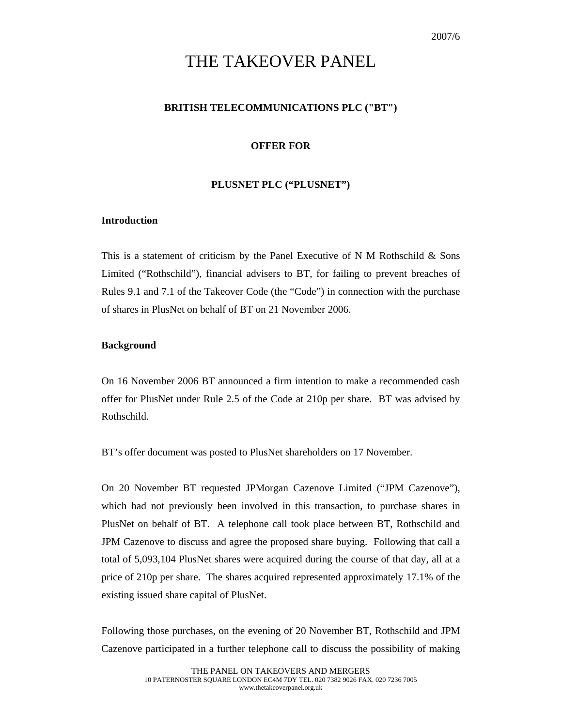# THE TAKEOVER PANEL

# **BRITISH TELECOMMUNICATIONS PLC ("BT")**

# **OFFER FOR**

### **PLUSNET PLC ("PLUSNET")**

# **Introduction**

This is a statement of criticism by the Panel Executive of N M Rothschild & Sons Limited ("Rothschild"), financial advisers to BT, for failing to prevent breaches of Rules 9.1 and 7.1 of the Takeover Code (the "Code") in connection with the purchase of shares in PlusNet on behalf of BT on 21 November 2006.

#### **Background**

On 16 November 2006 BT announced a firm intention to make a recommended cash offer for PlusNet under Rule 2.5 of the Code at 210p per share. BT was advised by Rothschild.

BT's offer document was posted to PlusNet shareholders on 17 November.

On 20 November BT requested JPMorgan Cazenove Limited ("JPM Cazenove"), which had not previously been involved in this transaction, to purchase shares in PlusNet on behalf of BT. A telephone call took place between BT, Rothschild and JPM Cazenove to discuss and agree the proposed share buying. Following that call a total of 5,093,104 PlusNet shares were acquired during the course of that day, all at a price of 210p per share. The shares acquired represented approximately 17.1% of the existing issued share capital of PlusNet.

Following those purchases, on the evening of 20 November BT, Rothschild and JPM Cazenove participated in a further telephone call to discuss the possibility of making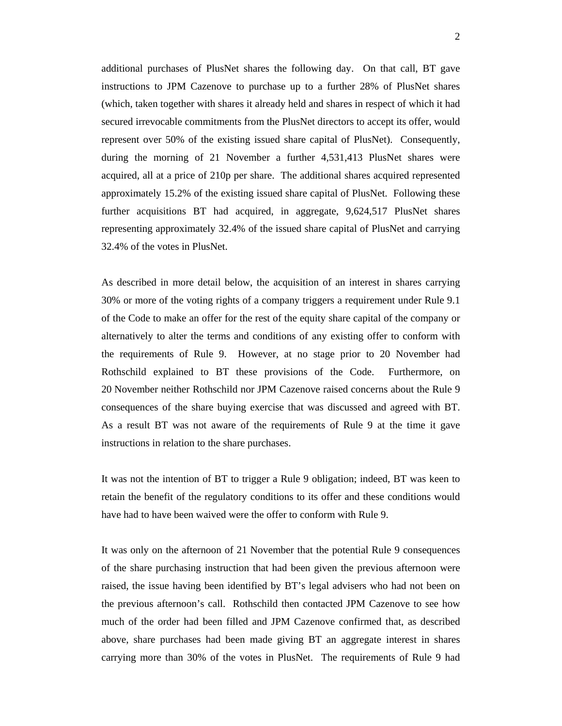additional purchases of PlusNet shares the following day. On that call, BT gave instructions to JPM Cazenove to purchase up to a further 28% of PlusNet shares (which, taken together with shares it already held and shares in respect of which it had secured irrevocable commitments from the PlusNet directors to accept its offer, would represent over 50% of the existing issued share capital of PlusNet). Consequently, during the morning of 21 November a further 4,531,413 PlusNet shares were acquired, all at a price of 210p per share. The additional shares acquired represented approximately 15.2% of the existing issued share capital of PlusNet. Following these further acquisitions BT had acquired, in aggregate, 9,624,517 PlusNet shares representing approximately 32.4% of the issued share capital of PlusNet and carrying 32.4% of the votes in PlusNet.

As described in more detail below, the acquisition of an interest in shares carrying 30% or more of the voting rights of a company triggers a requirement under Rule 9.1 of the Code to make an offer for the rest of the equity share capital of the company or alternatively to alter the terms and conditions of any existing offer to conform with the requirements of Rule 9. However, at no stage prior to 20 November had Rothschild explained to BT these provisions of the Code. Furthermore, on 20 November neither Rothschild nor JPM Cazenove raised concerns about the Rule 9 consequences of the share buying exercise that was discussed and agreed with BT. As a result BT was not aware of the requirements of Rule 9 at the time it gave instructions in relation to the share purchases.

It was not the intention of BT to trigger a Rule 9 obligation; indeed, BT was keen to retain the benefit of the regulatory conditions to its offer and these conditions would have had to have been waived were the offer to conform with Rule 9.

It was only on the afternoon of 21 November that the potential Rule 9 consequences of the share purchasing instruction that had been given the previous afternoon were raised, the issue having been identified by BT's legal advisers who had not been on the previous afternoon's call. Rothschild then contacted JPM Cazenove to see how much of the order had been filled and JPM Cazenove confirmed that, as described above, share purchases had been made giving BT an aggregate interest in shares carrying more than 30% of the votes in PlusNet. The requirements of Rule 9 had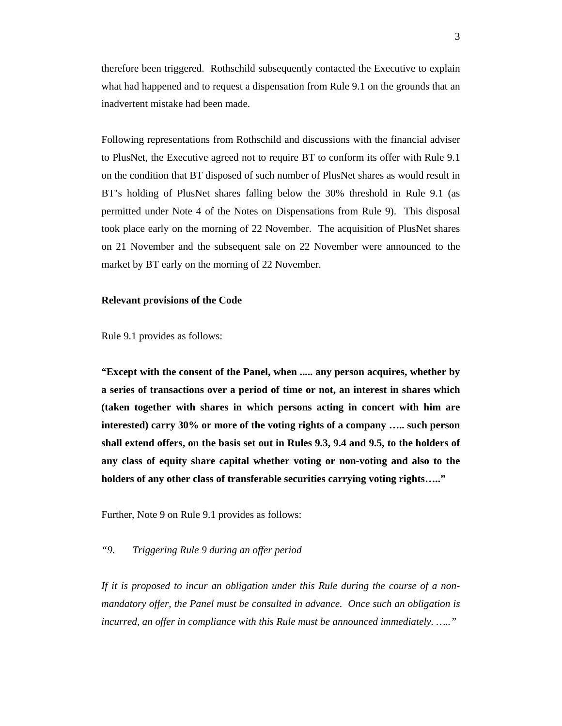therefore been triggered. Rothschild subsequently contacted the Executive to explain what had happened and to request a dispensation from Rule 9.1 on the grounds that an inadvertent mistake had been made.

Following representations from Rothschild and discussions with the financial adviser to PlusNet, the Executive agreed not to require BT to conform its offer with Rule 9.1 on the condition that BT disposed of such number of PlusNet shares as would result in BT's holding of PlusNet shares falling below the 30% threshold in Rule 9.1 (as permitted under Note 4 of the Notes on Dispensations from Rule 9). This disposal took place early on the morning of 22 November. The acquisition of PlusNet shares on 21 November and the subsequent sale on 22 November were announced to the market by BT early on the morning of 22 November.

#### **Relevant provisions of the Code**

Rule 9.1 provides as follows:

**"Except with the consent of the Panel, when ..... any person acquires, whether by a series of transactions over a period of time or not, an interest in shares which (taken together with shares in which persons acting in concert with him are interested) carry 30% or more of the voting rights of a company ….. such person shall extend offers, on the basis set out in Rules 9.3, 9.4 and 9.5, to the holders of any class of equity share capital whether voting or non-voting and also to the holders of any other class of transferable securities carrying voting rights….."** 

Further, Note 9 on Rule 9.1 provides as follows:

# *"9. Triggering Rule 9 during an offer period*

*If it is proposed to incur an obligation under this Rule during the course of a nonmandatory offer, the Panel must be consulted in advance. Once such an obligation is incurred, an offer in compliance with this Rule must be announced immediately. ….."*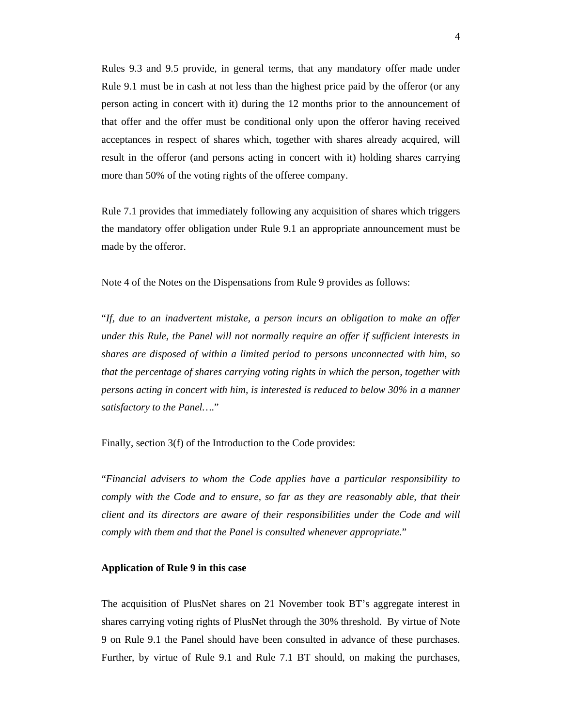Rules 9.3 and 9.5 provide, in general terms, that any mandatory offer made under Rule 9.1 must be in cash at not less than the highest price paid by the offeror (or any person acting in concert with it) during the 12 months prior to the announcement of that offer and the offer must be conditional only upon the offeror having received acceptances in respect of shares which, together with shares already acquired, will result in the offeror (and persons acting in concert with it) holding shares carrying more than 50% of the voting rights of the offeree company.

Rule 7.1 provides that immediately following any acquisition of shares which triggers the mandatory offer obligation under Rule 9.1 an appropriate announcement must be made by the offeror.

Note 4 of the Notes on the Dispensations from Rule 9 provides as follows:

"*If, due to an inadvertent mistake, a person incurs an obligation to make an offer under this Rule, the Panel will not normally require an offer if sufficient interests in shares are disposed of within a limited period to persons unconnected with him, so that the percentage of shares carrying voting rights in which the person, together with persons acting in concert with him, is interested is reduced to below 30% in a manner satisfactory to the Panel…*."

Finally, section 3(f) of the Introduction to the Code provides:

"*Financial advisers to whom the Code applies have a particular responsibility to comply with the Code and to ensure, so far as they are reasonably able, that their client and its directors are aware of their responsibilities under the Code and will comply with them and that the Panel is consulted whenever appropriate.*"

#### **Application of Rule 9 in this case**

The acquisition of PlusNet shares on 21 November took BT's aggregate interest in shares carrying voting rights of PlusNet through the 30% threshold. By virtue of Note 9 on Rule 9.1 the Panel should have been consulted in advance of these purchases. Further, by virtue of Rule 9.1 and Rule 7.1 BT should, on making the purchases,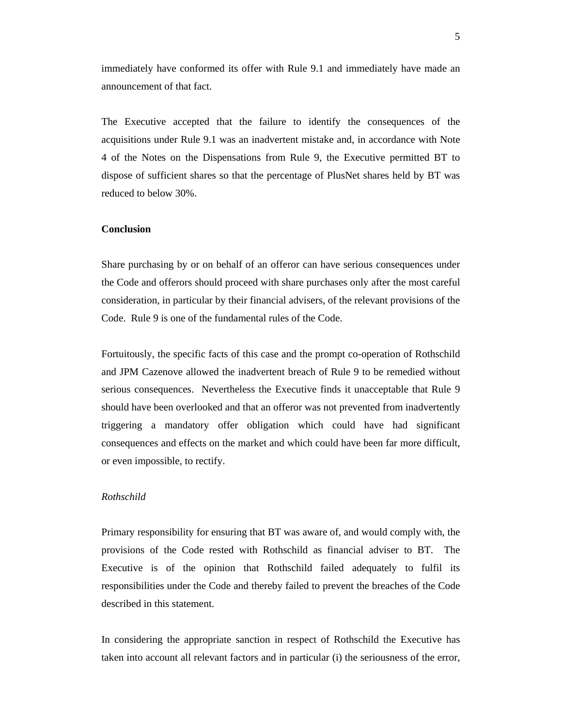immediately have conformed its offer with Rule 9.1 and immediately have made an announcement of that fact.

The Executive accepted that the failure to identify the consequences of the acquisitions under Rule 9.1 was an inadvertent mistake and, in accordance with Note 4 of the Notes on the Dispensations from Rule 9, the Executive permitted BT to dispose of sufficient shares so that the percentage of PlusNet shares held by BT was reduced to below 30%.

#### **Conclusion**

Share purchasing by or on behalf of an offeror can have serious consequences under the Code and offerors should proceed with share purchases only after the most careful consideration, in particular by their financial advisers, of the relevant provisions of the Code. Rule 9 is one of the fundamental rules of the Code.

Fortuitously, the specific facts of this case and the prompt co-operation of Rothschild and JPM Cazenove allowed the inadvertent breach of Rule 9 to be remedied without serious consequences. Nevertheless the Executive finds it unacceptable that Rule 9 should have been overlooked and that an offeror was not prevented from inadvertently triggering a mandatory offer obligation which could have had significant consequences and effects on the market and which could have been far more difficult, or even impossible, to rectify.

#### *Rothschild*

Primary responsibility for ensuring that BT was aware of, and would comply with, the provisions of the Code rested with Rothschild as financial adviser to BT. The Executive is of the opinion that Rothschild failed adequately to fulfil its responsibilities under the Code and thereby failed to prevent the breaches of the Code described in this statement.

In considering the appropriate sanction in respect of Rothschild the Executive has taken into account all relevant factors and in particular (i) the seriousness of the error,